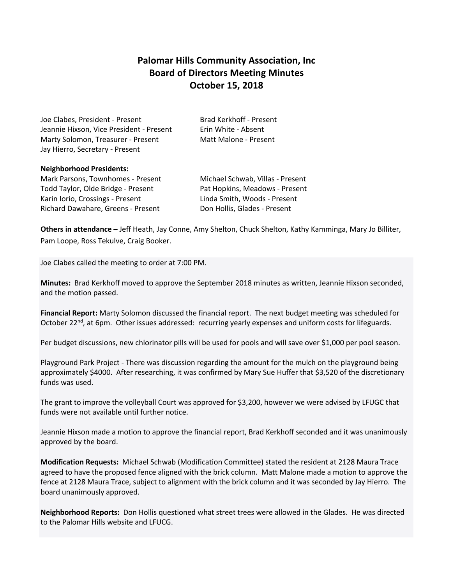## **Palomar Hills Community Association, Inc Board of Directors Meeting Minutes October 15, 2018**

Joe Clabes, President - Present Brad Kerkhoff - Present Jeannie Hixson, Vice President - Present Frin White - Absent Marty Solomon, Treasurer - Present Matt Malone - Present Jay Hierro, Secretary - Present

## **Neighborhood Presidents:**

Mark Parsons, Townhomes - Present Michael Schwab, Villas - Present Todd Taylor, Olde Bridge - Present Pat Hopkins, Meadows - Present Karin Iorio, Crossings - Present Linda Smith, Woods - Present Richard Dawahare, Greens - Present Don Hollis, Glades - Present

**Others in attendance –** Jeff Heath, Jay Conne, Amy Shelton, Chuck Shelton, Kathy Kamminga, Mary Jo Billiter, Pam Loope, Ross Tekulve, Craig Booker.

Joe Clabes called the meeting to order at 7:00 PM.

**Minutes:** Brad Kerkhoff moved to approve the September 2018 minutes as written, Jeannie Hixson seconded, and the motion passed.

**Financial Report:** Marty Solomon discussed the financial report. The next budget meeting was scheduled for October 22<sup>nd</sup>, at 6pm. Other issues addressed: recurring yearly expenses and uniform costs for lifeguards.

Per budget discussions, new chlorinator pills will be used for pools and will save over \$1,000 per pool season.

Playground Park Project - There was discussion regarding the amount for the mulch on the playground being approximately \$4000. After researching, it was confirmed by Mary Sue Huffer that \$3,520 of the discretionary funds was used.

The grant to improve the volleyball Court was approved for \$3,200, however we were advised by LFUGC that funds were not available until further notice.

Jeannie Hixson made a motion to approve the financial report, Brad Kerkhoff seconded and it was unanimously approved by the board.

**Modification Requests:** Michael Schwab (Modification Committee) stated the resident at 2128 Maura Trace agreed to have the proposed fence aligned with the brick column. Matt Malone made a motion to approve the fence at 2128 Maura Trace, subject to alignment with the brick column and it was seconded by Jay Hierro. The board unanimously approved.

**Neighborhood Reports:** Don Hollis questioned what street trees were allowed in the Glades. He was directed to the Palomar Hills website and LFUCG.